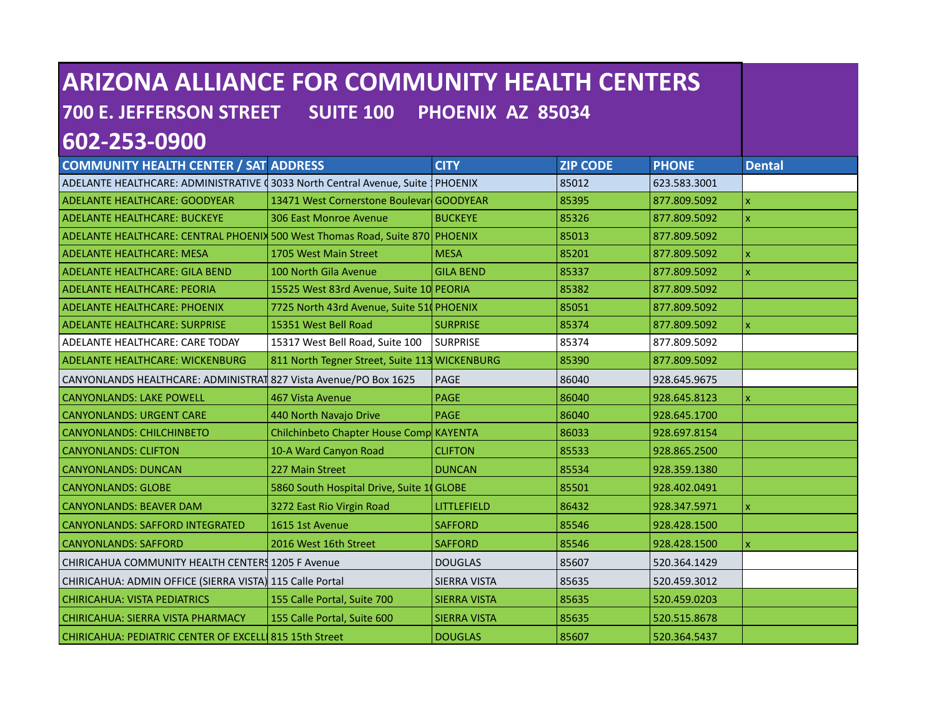| <b>ARIZONA ALLIANCE FOR COMMUNITY HEALTH CENTERS</b>                            |                                               |                     |                 |              |                           |  |
|---------------------------------------------------------------------------------|-----------------------------------------------|---------------------|-----------------|--------------|---------------------------|--|
| <b>700 E. JEFFERSON STREET</b><br><b>SUITE 100</b><br>PHOENIX AZ 85034          |                                               |                     |                 |              |                           |  |
| 602-253-0900                                                                    |                                               |                     |                 |              |                           |  |
| <b>COMMUNITY HEALTH CENTER / SAT ADDRESS</b>                                    |                                               | <b>CITY</b>         | <b>ZIP CODE</b> | <b>PHONE</b> | <b>Dental</b>             |  |
| ADELANTE HEALTHCARE: ADMINISTRATIVE (3033 North Central Avenue, Suite   PHOENIX |                                               |                     | 85012           | 623.583.3001 |                           |  |
| ADELANTE HEALTHCARE: GOODYEAR                                                   | 13471 West Cornerstone Boulevarl GOODYEAR     |                     | 85395           | 877.809.5092 | $\mathsf{x}$              |  |
| <b>ADELANTE HEALTHCARE: BUCKEYE</b>                                             | 306 East Monroe Avenue                        | <b>BUCKEYE</b>      | 85326           | 877.809.5092 | $\mathsf X$               |  |
| ADELANTE HEALTHCARE: CENTRAL PHOENIX 500 West Thomas Road, Suite 870 PHOENIX    |                                               |                     | 85013           | 877.809.5092 |                           |  |
| ADELANTE HEALTHCARE: MESA                                                       | 1705 West Main Street                         | <b>MESA</b>         | 85201           | 877.809.5092 | $\overline{\mathbf{x}}$   |  |
| ADELANTE HEALTHCARE: GILA BEND                                                  | 100 North Gila Avenue                         | <b>GILA BEND</b>    | 85337           | 877.809.5092 | $\boldsymbol{\mathsf{x}}$ |  |
| ADELANTE HEALTHCARE: PEORIA                                                     | 15525 West 83rd Avenue, Suite 10 PEORIA       |                     | 85382           | 877.809.5092 |                           |  |
| <b>ADELANTE HEALTHCARE: PHOENIX</b>                                             | 7725 North 43rd Avenue, Suite 51 PHOENIX      |                     | 85051           | 877.809.5092 |                           |  |
| <b>ADELANTE HEALTHCARE: SURPRISE</b>                                            | 15351 West Bell Road                          | <b>SURPRISE</b>     | 85374           | 877.809.5092 | $\mathbf{x}$              |  |
| ADELANTE HEALTHCARE: CARE TODAY                                                 | 15317 West Bell Road, Suite 100               | <b>SURPRISE</b>     | 85374           | 877.809.5092 |                           |  |
| <b>ADELANTE HEALTHCARE: WICKENBURG</b>                                          | 811 North Tegner Street, Suite 113 WICKENBURG |                     | 85390           | 877.809.5092 |                           |  |
| CANYONLANDS HEALTHCARE: ADMINISTRAT 827 Vista Avenue/PO Box 1625                |                                               | PAGE                | 86040           | 928.645.9675 |                           |  |
| <b>CANYONLANDS: LAKE POWELL</b>                                                 | 467 Vista Avenue                              | <b>PAGE</b>         | 86040           | 928.645.8123 | $\mathsf{x}$              |  |
| <b>CANYONLANDS: URGENT CARE</b>                                                 | 440 North Navajo Drive                        | PAGE                | 86040           | 928.645.1700 |                           |  |
| <b>CANYONLANDS: CHILCHINBETO</b>                                                | Chilchinbeto Chapter House Comp KAYENTA       |                     | 86033           | 928.697.8154 |                           |  |
| <b>CANYONLANDS: CLIFTON</b>                                                     | 10-A Ward Canyon Road                         | <b>CLIFTON</b>      | 85533           | 928.865.2500 |                           |  |
| <b>CANYONLANDS: DUNCAN</b>                                                      | 227 Main Street                               | <b>DUNCAN</b>       | 85534           | 928.359.1380 |                           |  |
| <b>CANYONLANDS: GLOBE</b>                                                       | 5860 South Hospital Drive, Suite 1 GLOBE      |                     | 85501           | 928.402.0491 |                           |  |
| <b>CANYONLANDS: BEAVER DAM</b>                                                  | 3272 East Rio Virgin Road                     | LITTLEFIELD         | 86432           | 928.347.5971 | $\pmb{\mathsf{x}}$        |  |
| <b>CANYONLANDS: SAFFORD INTEGRATED</b>                                          | 1615 1st Avenue                               | <b>SAFFORD</b>      | 85546           | 928.428.1500 |                           |  |
| <b>CANYONLANDS: SAFFORD</b>                                                     | 2016 West 16th Street                         | <b>SAFFORD</b>      | 85546           | 928.428.1500 | $\mathsf{x}$              |  |
| CHIRICAHUA COMMUNITY HEALTH CENTERS 1205 F Avenue                               |                                               | <b>DOUGLAS</b>      | 85607           | 520.364.1429 |                           |  |
| CHIRICAHUA: ADMIN OFFICE (SIERRA VISTA) 115 Calle Portal                        |                                               | SIERRA VISTA        | 85635           | 520.459.3012 |                           |  |
| <b>CHIRICAHUA: VISTA PEDIATRICS</b>                                             | 155 Calle Portal, Suite 700                   | <b>SIERRA VISTA</b> | 85635           | 520.459.0203 |                           |  |
| <b>CHIRICAHUA: SIERRA VISTA PHARMACY</b>                                        | 155 Calle Portal, Suite 600                   | <b>SIERRA VISTA</b> | 85635           | 520.515.8678 |                           |  |
| CHIRICAHUA: PEDIATRIC CENTER OF EXCELL 815 15th Street                          |                                               | <b>DOUGLAS</b>      | 85607           | 520.364.5437 |                           |  |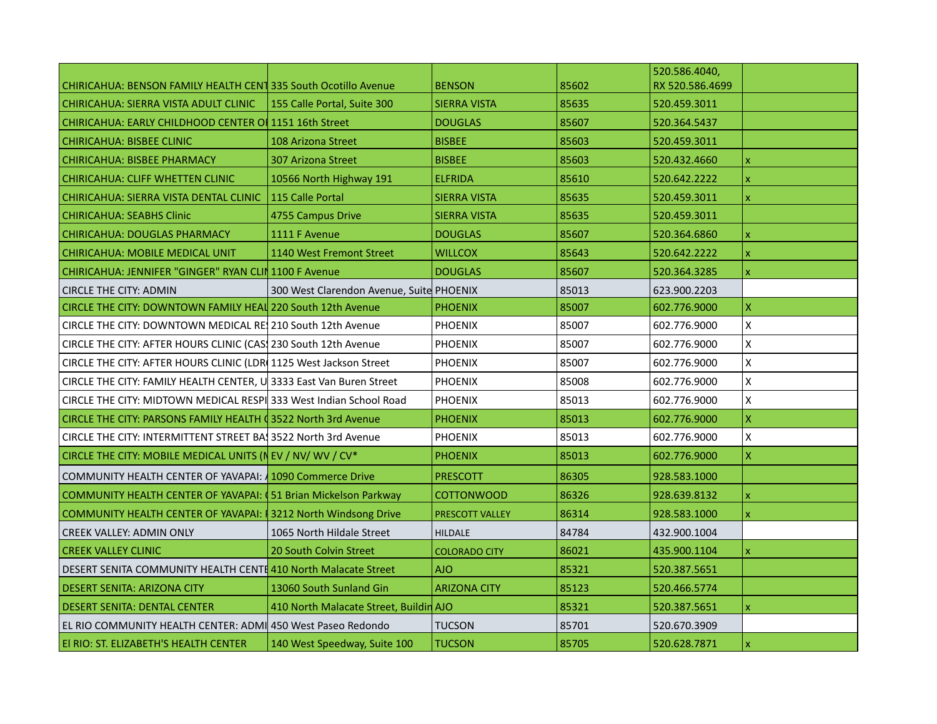|                                                                        |                                          |                        |       | 520.586.4040,   |                         |
|------------------------------------------------------------------------|------------------------------------------|------------------------|-------|-----------------|-------------------------|
| <b>CHIRICAHUA: BENSON FAMILY HEALTH CENT 335 South Ocotillo Avenue</b> |                                          | <b>BENSON</b>          | 85602 | RX 520.586.4699 |                         |
| CHIRICAHUA: SIERRA VISTA ADULT CLINIC                                  | 155 Calle Portal, Suite 300              | SIERRA VISTA           | 85635 | 520.459.3011    |                         |
| <b>CHIRICAHUA: EARLY CHILDHOOD CENTER OF 1151 16th Street</b>          |                                          | <b>DOUGLAS</b>         | 85607 | 520.364.5437    |                         |
| <b>CHIRICAHUA: BISBEE CLINIC</b>                                       | 108 Arizona Street                       | <b>BISBEE</b>          | 85603 | 520.459.3011    |                         |
| <b>CHIRICAHUA: BISBEE PHARMACY</b>                                     | <b>307 Arizona Street</b>                | <b>BISBEE</b>          | 85603 | 520.432.4660    | X                       |
| CHIRICAHUA: CLIFF WHETTEN CLINIC                                       | 10566 North Highway 191                  | <b>ELFRIDA</b>         | 85610 | 520.642.2222    | X                       |
| CHIRICAHUA: SIERRA VISTA DENTAL CLINIC                                 | 115 Calle Portal                         | <b>SIERRA VISTA</b>    | 85635 | 520.459.3011    | $\mathbf{x}$            |
| <b>CHIRICAHUA: SEABHS Clinic</b>                                       | 4755 Campus Drive                        | <b>SIERRA VISTA</b>    | 85635 | 520.459.3011    |                         |
| <b>CHIRICAHUA: DOUGLAS PHARMACY</b>                                    | 1111 F Avenue                            | <b>DOUGLAS</b>         | 85607 | 520.364.6860    | x                       |
| <b>CHIRICAHUA: MOBILE MEDICAL UNIT</b>                                 | 1140 West Fremont Street                 | <b>WILLCOX</b>         | 85643 | 520.642.2222    | X                       |
| CHIRICAHUA: JENNIFER "GINGER" RYAN CLIN 1100 F Avenue                  |                                          | <b>DOUGLAS</b>         | 85607 | 520.364.3285    | $\mathsf X$             |
| <b>CIRCLE THE CITY: ADMIN</b>                                          | 300 West Clarendon Avenue, Suite PHOENIX |                        | 85013 | 623.900.2203    |                         |
| CIRCLE THE CITY: DOWNTOWN FAMILY HEAL 220 South 12th Avenue            |                                          | <b>PHOENIX</b>         | 85007 | 602.776.9000    | X                       |
| CIRCLE THE CITY: DOWNTOWN MEDICAL RE 210 South 12th Avenue             |                                          | <b>PHOENIX</b>         | 85007 | 602.776.9000    | X                       |
| CIRCLE THE CITY: AFTER HOURS CLINIC (CAS) 230 South 12th Avenue        |                                          | <b>PHOENIX</b>         | 85007 | 602.776.9000    | X                       |
| CIRCLE THE CITY: AFTER HOURS CLINIC (LDR 1125 West Jackson Street      |                                          | <b>PHOENIX</b>         | 85007 | 602.776.9000    | Χ                       |
| CIRCLE THE CITY: FAMILY HEALTH CENTER, U 3333 East Van Buren Street    |                                          | <b>PHOENIX</b>         | 85008 | 602.776.9000    | X                       |
| CIRCLE THE CITY: MIDTOWN MEDICAL RESPI 333 West Indian School Road     |                                          | <b>PHOENIX</b>         | 85013 | 602.776.9000    | Χ                       |
| CIRCLE THE CITY: PARSONS FAMILY HEALTH 03522 North 3rd Avenue          |                                          | <b>PHOENIX</b>         | 85013 | 602.776.9000    | $\pmb{\mathsf{X}}$      |
| CIRCLE THE CITY: INTERMITTENT STREET BA13522 North 3rd Avenue          |                                          | <b>PHOENIX</b>         | 85013 | 602.776.9000    | X                       |
| CIRCLE THE CITY: MOBILE MEDICAL UNITS (NEV / NV/ WV / CV*              |                                          | <b>PHOENIX</b>         | 85013 | 602.776.9000    | $\overline{\mathsf{x}}$ |
| <b>COMMUNITY HEALTH CENTER OF YAVAPAI: 4 1090 Commerce Drive</b>       |                                          | <b>PRESCOTT</b>        | 86305 | 928.583.1000    |                         |
| <b>COMMUNITY HEALTH CENTER OF YAVAPAI: (51 Brian Mickelson Parkway</b> |                                          | <b>COTTONWOOD</b>      | 86326 | 928.639.8132    | x                       |
| <b>COMMUNITY HEALTH CENTER OF YAVAPAI: 1 3212 North Windsong Drive</b> |                                          | <b>PRESCOTT VALLEY</b> | 86314 | 928.583.1000    | X                       |
| <b>CREEK VALLEY: ADMIN ONLY</b>                                        | 1065 North Hildale Street                | <b>HILDALE</b>         | 84784 | 432.900.1004    |                         |
| <b>CREEK VALLEY CLINIC</b>                                             | 20 South Colvin Street                   | <b>COLORADO CITY</b>   | 86021 | 435.900.1104    | $\mathbf{x}$            |
| DESERT SENITA COMMUNITY HEALTH CENTE 410 North Malacate Street         |                                          | <b>AJO</b>             | 85321 | 520.387.5651    |                         |
| DESERT SENITA: ARIZONA CITY                                            | 13060 South Sunland Gin                  | <b>ARIZONA CITY</b>    | 85123 | 520.466.5774    |                         |
| <b>DESERT SENITA: DENTAL CENTER</b>                                    | 410 North Malacate Street, Buildin AJO   |                        | 85321 | 520.387.5651    | $\mathsf{x}$            |
| EL RIO COMMUNITY HEALTH CENTER: ADMI 450 West Paseo Redondo            |                                          | <b>TUCSON</b>          | 85701 | 520.670.3909    |                         |
| El RIO: ST. ELIZABETH'S HEALTH CENTER                                  | 140 West Speedway, Suite 100             | <b>TUCSON</b>          | 85705 | 520.628.7871    | $\mathbf{x}$            |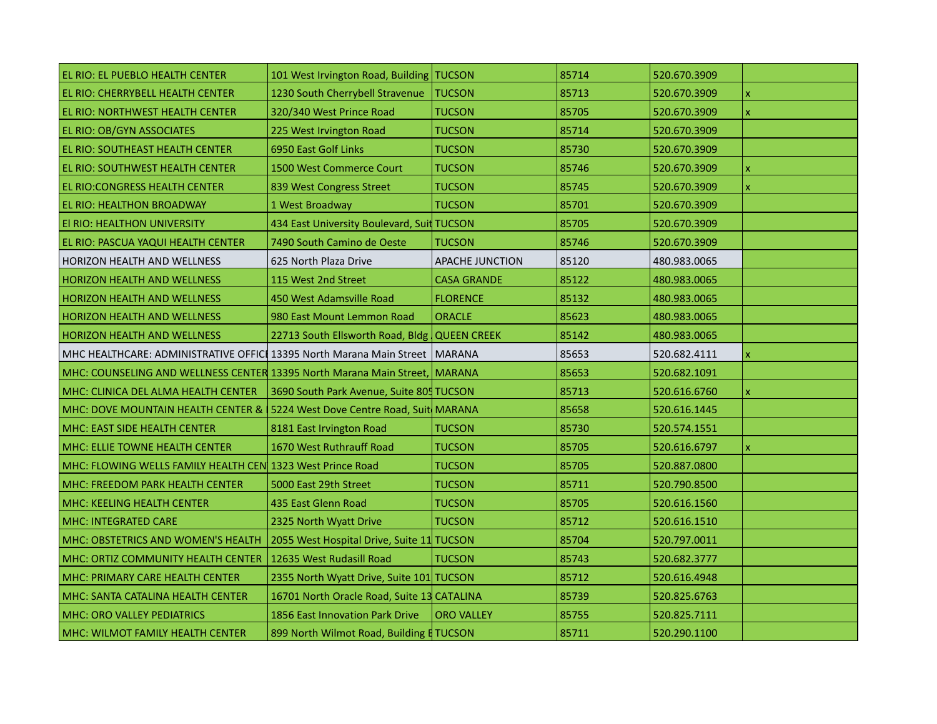| EL RIO: EL PUEBLO HEALTH CENTER                                               | 101 West Irvington Road, Building   TUCSON     |                        | 85714 | 520.670.3909 |                         |
|-------------------------------------------------------------------------------|------------------------------------------------|------------------------|-------|--------------|-------------------------|
| EL RIO: CHERRYBELL HEALTH CENTER                                              | 1230 South Cherrybell Stravenue                | <b>TUCSON</b>          | 85713 | 520.670.3909 | X                       |
| EL RIO: NORTHWEST HEALTH CENTER                                               | 320/340 West Prince Road                       | <b>TUCSON</b>          | 85705 | 520.670.3909 | X                       |
| EL RIO: OB/GYN ASSOCIATES                                                     | 225 West Irvington Road                        | <b>TUCSON</b>          | 85714 | 520.670.3909 |                         |
| EL RIO: SOUTHEAST HEALTH CENTER                                               | 6950 East Golf Links                           | <b>TUCSON</b>          | 85730 | 520.670.3909 |                         |
| <b>EL RIO: SOUTHWEST HEALTH CENTER</b>                                        | 1500 West Commerce Court                       | <b>TUCSON</b>          | 85746 | 520.670.3909 | $\overline{\mathsf{x}}$ |
| EL RIO: CONGRESS HEALTH CENTER                                                | 839 West Congress Street                       | <b>TUCSON</b>          | 85745 | 520.670.3909 | $\mathsf{x}$            |
| <b>EL RIO: HEALTHON BROADWAY</b>                                              | 1 West Broadway                                | <b>TUCSON</b>          | 85701 | 520.670.3909 |                         |
| El RIO: HEALTHON UNIVERSITY                                                   | 434 East University Boulevard, Suit TUCSON     |                        | 85705 | 520.670.3909 |                         |
| EL RIO: PASCUA YAQUI HEALTH CENTER                                            | 7490 South Camino de Oeste                     | <b>TUCSON</b>          | 85746 | 520.670.3909 |                         |
| HORIZON HEALTH AND WELLNESS                                                   | 625 North Plaza Drive                          | <b>APACHE JUNCTION</b> | 85120 | 480.983.0065 |                         |
| <b>HORIZON HEALTH AND WELLNESS</b>                                            | 115 West 2nd Street                            | <b>CASA GRANDE</b>     | 85122 | 480.983.0065 |                         |
| <b>HORIZON HEALTH AND WELLNESS</b>                                            | 450 West Adamsville Road                       | <b>FLORENCE</b>        | 85132 | 480.983.0065 |                         |
| <b>HORIZON HEALTH AND WELLNESS</b>                                            | 980 East Mount Lemmon Road                     | <b>ORACLE</b>          | 85623 | 480.983.0065 |                         |
| <b>HORIZON HEALTH AND WELLNESS</b>                                            | 22713 South Ellsworth Road, Bldg   QUEEN CREEK |                        | 85142 | 480.983.0065 |                         |
| MHC HEALTHCARE: ADMINISTRATIVE OFFICI 13395 North Marana Main Street   MARANA |                                                |                        | 85653 | 520.682.4111 |                         |
| MHC: COUNSELING AND WELLNESS CENTER 13395 North Marana Main Street, MARANA    |                                                |                        | 85653 | 520.682.1091 |                         |
| MHC: CLINICA DEL ALMA HEALTH CENTER                                           | 3690 South Park Avenue, Suite 805 TUCSON       |                        | 85713 | 520.616.6760 | $\mathbf{x}$            |
| MHC: DOVE MOUNTAIN HEALTH CENTER & 15224 West Dove Centre Road, Suit MARANA   |                                                |                        | 85658 | 520.616.1445 |                         |
| MHC: EAST SIDE HEALTH CENTER                                                  | 8181 East Irvington Road                       | <b>TUCSON</b>          | 85730 | 520.574.1551 |                         |
| MHC: ELLIE TOWNE HEALTH CENTER                                                | 1670 West Ruthrauff Road                       | <b>TUCSON</b>          | 85705 | 520.616.6797 | x                       |
| MHC: FLOWING WELLS FAMILY HEALTH CEN 1323 West Prince Road                    |                                                | <b>TUCSON</b>          | 85705 | 520.887.0800 |                         |
| MHC: FREEDOM PARK HEALTH CENTER                                               | 5000 East 29th Street                          | <b>TUCSON</b>          | 85711 | 520.790.8500 |                         |
| <b>MHC: KEELING HEALTH CENTER</b>                                             | 435 East Glenn Road                            | <b>TUCSON</b>          | 85705 | 520.616.1560 |                         |
| MHC: INTEGRATED CARE                                                          | 2325 North Wyatt Drive                         | <b>TUCSON</b>          | 85712 | 520.616.1510 |                         |
| MHC: OBSTETRICS AND WOMEN'S HEALTH                                            | 2055 West Hospital Drive, Suite 11 TUCSON      |                        | 85704 | 520.797.0011 |                         |
| MHC: ORTIZ COMMUNITY HEALTH CENTER                                            | 12635 West Rudasill Road                       | <b>TUCSON</b>          | 85743 | 520.682.3777 |                         |
| MHC: PRIMARY CARE HEALTH CENTER                                               | 2355 North Wyatt Drive, Suite 101 TUCSON       |                        | 85712 | 520.616.4948 |                         |
| MHC: SANTA CATALINA HEALTH CENTER                                             | 16701 North Oracle Road, Suite 13 CATALINA     |                        | 85739 | 520.825.6763 |                         |
| MHC: ORO VALLEY PEDIATRICS                                                    | 1856 East Innovation Park Drive                | <b>ORO VALLEY</b>      | 85755 | 520.825.7111 |                         |
| MHC: WILMOT FAMILY HEALTH CENTER                                              | 899 North Wilmot Road, Building E TUCSON       |                        | 85711 | 520.290.1100 |                         |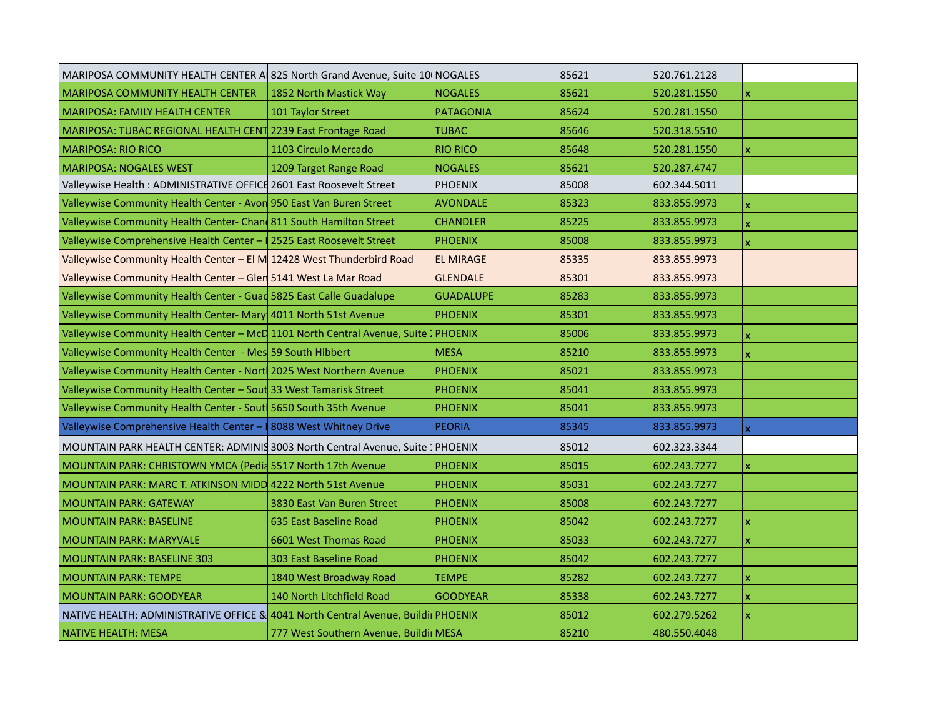| MARIPOSA COMMUNITY HEALTH CENTER A 825 North Grand Avenue, Suite 10 NOGALES         |                                       |                  | 85621 | 520.761.2128 |              |
|-------------------------------------------------------------------------------------|---------------------------------------|------------------|-------|--------------|--------------|
| MARIPOSA COMMUNITY HEALTH CENTER                                                    | 1852 North Mastick Way                | <b>NOGALES</b>   | 85621 | 520.281.1550 | x            |
| <b>MARIPOSA: FAMILY HEALTH CENTER</b>                                               | 101 Taylor Street                     | <b>PATAGONIA</b> | 85624 | 520.281.1550 |              |
| MARIPOSA: TUBAC REGIONAL HEALTH CENT 2239 East Frontage Road                        |                                       | <b>TUBAC</b>     | 85646 | 520.318.5510 |              |
| <b>MARIPOSA: RIO RICO</b>                                                           | 1103 Circulo Mercado                  | <b>RIO RICO</b>  | 85648 | 520.281.1550 | X            |
| MARIPOSA: NOGALES WEST                                                              | 1209 Target Range Road                | <b>NOGALES</b>   | 85621 | 520.287.4747 |              |
| Valleywise Health: ADMINISTRATIVE OFFICE 2601 East Roosevelt Street                 |                                       | <b>PHOENIX</b>   | 85008 | 602.344.5011 |              |
| Valleywise Community Health Center - Avon 950 East Van Buren Street                 |                                       | <b>AVONDALE</b>  | 85323 | 833.855.9973 | X            |
| Valleywise Community Health Center- Chan 811 South Hamilton Street                  |                                       | <b>CHANDLER</b>  | 85225 | 833.855.9973 | X            |
| Valleywise Comprehensive Health Center -   2525 East Roosevelt Street               |                                       | <b>PHOENIX</b>   | 85008 | 833.855.9973 | x            |
| Valleywise Community Health Center - El M 12428 West Thunderbird Road               |                                       | <b>EL MIRAGE</b> | 85335 | 833.855.9973 |              |
| Valleywise Community Health Center - Glen 5141 West La Mar Road                     |                                       | <b>GLENDALE</b>  | 85301 | 833.855.9973 |              |
| Valleywise Community Health Center - Guad 5825 East Calle Guadalupe                 |                                       | <b>GUADALUPE</b> | 85283 | 833.855.9973 |              |
| Valleywise Community Health Center- Mary 4011 North 51st Avenue                     |                                       | <b>PHOENIX</b>   | 85301 | 833.855.9973 |              |
| Valleywise Community Health Center - McD 1101 North Central Avenue, Suite   PHOENIX |                                       |                  | 85006 | 833.855.9973 | X            |
| Valleywise Community Health Center - Mes 59 South Hibbert                           |                                       | <b>MESA</b>      | 85210 | 833.855.9973 | x            |
| Valleywise Community Health Center - Nort 2025 West Northern Avenue                 |                                       | <b>PHOENIX</b>   | 85021 | 833.855.9973 |              |
| Valleywise Community Health Center - Sout 33 West Tamarisk Street                   |                                       | <b>PHOENIX</b>   | 85041 | 833.855.9973 |              |
| Valleywise Community Health Center - Sout 5650 South 35th Avenue                    |                                       | <b>PHOENIX</b>   | 85041 | 833.855.9973 |              |
| Valleywise Comprehensive Health Center - 8088 West Whitney Drive                    |                                       | <b>PEORIA</b>    | 85345 | 833.855.9973 | x            |
| MOUNTAIN PARK HEALTH CENTER: ADMINIS 3003 North Central Avenue, Suite   PHOENIX     |                                       |                  | 85012 | 602.323.3344 |              |
| MOUNTAIN PARK: CHRISTOWN YMCA (Pedid 5517 North 17th Avenue                         |                                       | <b>PHOENIX</b>   | 85015 | 602.243.7277 | $\mathbf{x}$ |
| MOUNTAIN PARK: MARC T. ATKINSON MIDD 4222 North 51st Avenue                         |                                       | <b>PHOENIX</b>   | 85031 | 602.243.7277 |              |
| <b>MOUNTAIN PARK: GATEWAY</b>                                                       | 3830 East Van Buren Street            | <b>PHOENIX</b>   | 85008 | 602.243.7277 |              |
| <b>MOUNTAIN PARK: BASELINE</b>                                                      | 635 East Baseline Road                | <b>PHOENIX</b>   | 85042 | 602.243.7277 | x            |
| <b>MOUNTAIN PARK: MARYVALE</b>                                                      | 6601 West Thomas Road                 | <b>PHOENIX</b>   | 85033 | 602.243.7277 | x            |
| <b>MOUNTAIN PARK: BASELINE 303</b>                                                  | 303 East Baseline Road                | <b>PHOENIX</b>   | 85042 | 602.243.7277 |              |
| <b>MOUNTAIN PARK: TEMPE</b>                                                         | 1840 West Broadway Road               | <b>TEMPE</b>     | 85282 | 602.243.7277 | x            |
| <b>MOUNTAIN PARK: GOODYEAR</b>                                                      | 140 North Litchfield Road             | <b>GOODYEAR</b>  | 85338 | 602.243.7277 | x            |
| NATIVE HEALTH: ADMINISTRATIVE OFFICE & 4041 North Central Avenue, Buildi PHOENIX    |                                       |                  | 85012 | 602.279.5262 | x            |
| NATIVE HEALTH: MESA                                                                 | 777 West Southern Avenue, Buildi MESA |                  | 85210 | 480.550.4048 |              |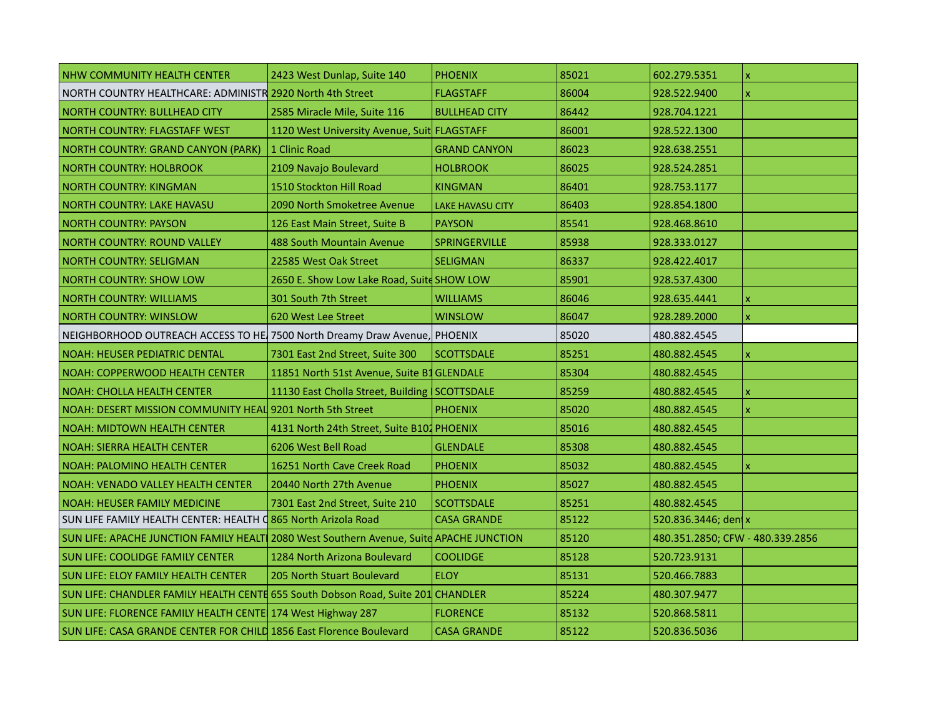| NHW COMMUNITY HEALTH CENTER                                                             | 2423 West Dunlap, Suite 140                   | <b>PHOENIX</b>          | 85021 | 602.279.5351                     | $\pmb{\mathsf{x}}$        |
|-----------------------------------------------------------------------------------------|-----------------------------------------------|-------------------------|-------|----------------------------------|---------------------------|
| NORTH COUNTRY HEALTHCARE: ADMINISTR 2920 North 4th Street                               |                                               | <b>FLAGSTAFF</b>        | 86004 | 928.522.9400                     | x                         |
| NORTH COUNTRY: BULLHEAD CITY                                                            | 2585 Miracle Mile, Suite 116                  | <b>BULLHEAD CITY</b>    | 86442 | 928.704.1221                     |                           |
| NORTH COUNTRY: FLAGSTAFF WEST                                                           | 1120 West University Avenue, Suit FLAGSTAFF   |                         | 86001 | 928.522.1300                     |                           |
| NORTH COUNTRY: GRAND CANYON (PARK)                                                      | 1 Clinic Road                                 | <b>GRAND CANYON</b>     | 86023 | 928.638.2551                     |                           |
| <b>NORTH COUNTRY: HOLBROOK</b>                                                          | 2109 Navajo Boulevard                         | <b>HOLBROOK</b>         | 86025 | 928.524.2851                     |                           |
| <b>NORTH COUNTRY: KINGMAN</b>                                                           | 1510 Stockton Hill Road                       | <b>KINGMAN</b>          | 86401 | 928.753.1177                     |                           |
| <b>NORTH COUNTRY: LAKE HAVASU</b>                                                       | 2090 North Smoketree Avenue                   | <b>LAKE HAVASU CITY</b> | 86403 | 928.854.1800                     |                           |
| <b>NORTH COUNTRY: PAYSON</b>                                                            | 126 East Main Street, Suite B                 | <b>PAYSON</b>           | 85541 | 928.468.8610                     |                           |
| <b>NORTH COUNTRY: ROUND VALLEY</b>                                                      | 488 South Mountain Avenue                     | <b>SPRINGERVILLE</b>    | 85938 | 928.333.0127                     |                           |
| <b>NORTH COUNTRY: SELIGMAN</b>                                                          | 22585 West Oak Street                         | <b>SELIGMAN</b>         | 86337 | 928.422.4017                     |                           |
| <b>NORTH COUNTRY: SHOW LOW</b>                                                          | 2650 E. Show Low Lake Road, Suite SHOW LOW    |                         | 85901 | 928.537.4300                     |                           |
| NORTH COUNTRY: WILLIAMS                                                                 | 301 South 7th Street                          | <b>WILLIAMS</b>         | 86046 | 928.635.4441                     | $\boldsymbol{\mathsf{x}}$ |
| <b>NORTH COUNTRY: WINSLOW</b>                                                           | 620 West Lee Street                           | <b>WINSLOW</b>          | 86047 | 928.289.2000                     | X                         |
| NEIGHBORHOOD OUTREACH ACCESS TO HE 7500 North Dreamy Draw Avenue, PHOENIX               |                                               |                         | 85020 | 480.882.4545                     |                           |
| NOAH: HEUSER PEDIATRIC DENTAL                                                           | 7301 East 2nd Street, Suite 300               | <b>SCOTTSDALE</b>       | 85251 | 480.882.4545                     | x                         |
| NOAH: COPPERWOOD HEALTH CENTER                                                          | 11851 North 51st Avenue, Suite B1 GLENDALE    |                         | 85304 | 480.882.4545                     |                           |
| NOAH: CHOLLA HEALTH CENTER                                                              | 11130 East Cholla Street, Building SCOTTSDALE |                         | 85259 | 480.882.4545                     | x                         |
| NOAH: DESERT MISSION COMMUNITY HEAL 9201 North 5th Street                               |                                               | <b>PHOENIX</b>          | 85020 | 480.882.4545                     | $\mathsf{x}$              |
| NOAH: MIDTOWN HEALTH CENTER                                                             | 4131 North 24th Street, Suite B101 PHOENIX    |                         | 85016 | 480.882.4545                     |                           |
| <b>NOAH: SIERRA HEALTH CENTER</b>                                                       | 6206 West Bell Road                           | <b>GLENDALE</b>         | 85308 | 480.882.4545                     |                           |
| NOAH: PALOMINO HEALTH CENTER                                                            | 16251 North Cave Creek Road                   | <b>PHOENIX</b>          | 85032 | 480.882.4545                     | $\mathsf{x}$              |
| NOAH: VENADO VALLEY HEALTH CENTER                                                       | 20440 North 27th Avenue                       | <b>PHOENIX</b>          | 85027 | 480.882.4545                     |                           |
| <b>NOAH: HEUSER FAMILY MEDICINE</b>                                                     | 7301 East 2nd Street, Suite 210               | <b>SCOTTSDALE</b>       | 85251 | 480.882.4545                     |                           |
| SUN LIFE FAMILY HEALTH CENTER: HEALTH C 865 North Arizola Road                          |                                               | <b>CASA GRANDE</b>      | 85122 | 520.836.3446; den x              |                           |
| SUN LIFE: APACHE JUNCTION FAMILY HEALT 2080 West Southern Avenue, Suite APACHE JUNCTION |                                               |                         | 85120 | 480.351.2850; CFW - 480.339.2856 |                           |
| SUN LIFE: COOLIDGE FAMILY CENTER                                                        | 1284 North Arizona Boulevard                  | <b>COOLIDGE</b>         | 85128 | 520.723.9131                     |                           |
| SUN LIFE: ELOY FAMILY HEALTH CENTER                                                     | 205 North Stuart Boulevard                    | <b>ELOY</b>             | 85131 | 520.466.7883                     |                           |
| SUN LIFE: CHANDLER FAMILY HEALTH CENTE 655 South Dobson Road, Suite 201 CHANDLER        |                                               |                         | 85224 | 480.307.9477                     |                           |
| SUN LIFE: FLORENCE FAMILY HEALTH CENTE 174 West Highway 287                             |                                               | <b>FLORENCE</b>         | 85132 | 520.868.5811                     |                           |
| SUN LIFE: CASA GRANDE CENTER FOR CHILD 1856 East Florence Boulevard                     |                                               | <b>CASA GRANDE</b>      | 85122 | 520.836.5036                     |                           |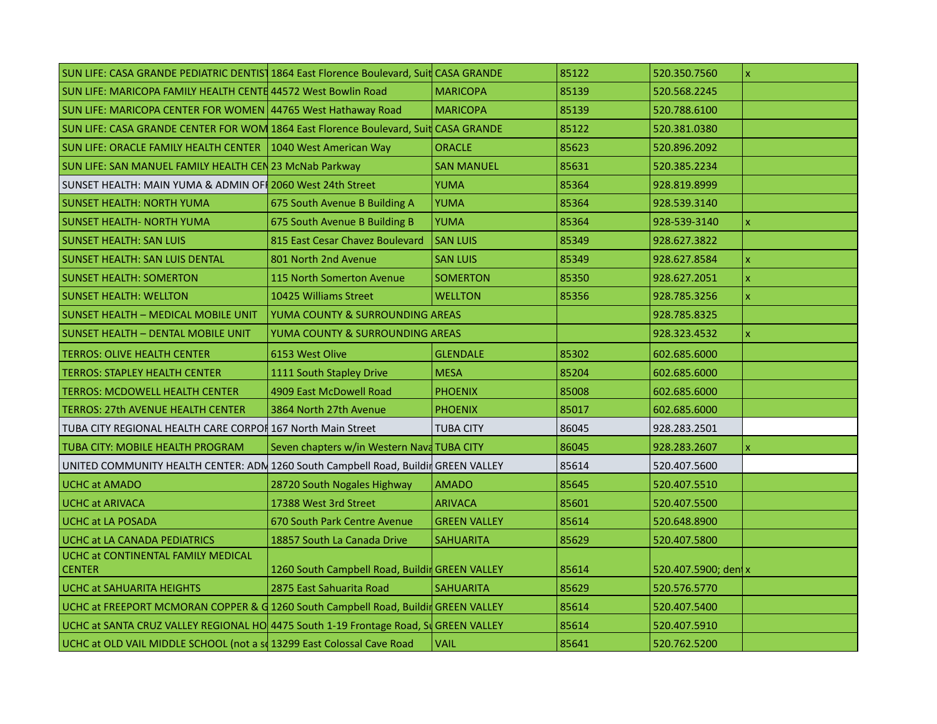| SUN LIFE: CASA GRANDE PEDIATRIC DENTIST 1864 East Florence Boulevard, Suit CASA GRANDE |                                                |                     | 85122 | 520.350.7560         | $\pmb{\mathsf{x}}$        |
|----------------------------------------------------------------------------------------|------------------------------------------------|---------------------|-------|----------------------|---------------------------|
| <b>SUN LIFE: MARICOPA FAMILY HEALTH CENTE 44572 West Bowlin Road</b>                   |                                                | <b>MARICOPA</b>     | 85139 | 520.568.2245         |                           |
| SUN LIFE: MARICOPA CENTER FOR WOMEN 44765 West Hathaway Road                           |                                                | <b>MARICOPA</b>     | 85139 | 520.788.6100         |                           |
| SUN LIFE: CASA GRANDE CENTER FOR WOM 1864 East Florence Boulevard, Suit CASA GRANDE    |                                                |                     | 85122 | 520.381.0380         |                           |
| SUN LIFE: ORACLE FAMILY HEALTH CENTER   1040 West American Way                         |                                                | <b>ORACLE</b>       | 85623 | 520.896.2092         |                           |
| SUN LIFE: SAN MANUEL FAMILY HEALTH CEN 23 McNab Parkway                                |                                                | <b>SAN MANUEL</b>   | 85631 | 520.385.2234         |                           |
| SUNSET HEALTH: MAIN YUMA & ADMIN OF 2060 West 24th Street                              |                                                | <b>YUMA</b>         | 85364 | 928.819.8999         |                           |
| <b>SUNSET HEALTH: NORTH YUMA</b>                                                       | 675 South Avenue B Building A                  | <b>YUMA</b>         | 85364 | 928.539.3140         |                           |
| <b>SUNSET HEALTH- NORTH YUMA</b>                                                       | 675 South Avenue B Building B                  | YUMA                | 85364 | 928-539-3140         | $\boldsymbol{\mathsf{x}}$ |
| <b>SUNSET HEALTH: SAN LUIS</b>                                                         | 815 East Cesar Chavez Boulevard                | SAN LUIS            | 85349 | 928.627.3822         |                           |
| <b>SUNSET HEALTH: SAN LUIS DENTAL</b>                                                  | 801 North 2nd Avenue                           | <b>SAN LUIS</b>     | 85349 | 928.627.8584         | $\overline{\mathsf{x}}$   |
| <b>SUNSET HEALTH: SOMERTON</b>                                                         | 115 North Somerton Avenue                      | <b>SOMERTON</b>     | 85350 | 928.627.2051         | $\boldsymbol{\mathsf{x}}$ |
| <b>SUNSET HEALTH: WELLTON</b>                                                          | 10425 Williams Street                          | <b>WELLTON</b>      | 85356 | 928.785.3256         | $\mathbf{x}$              |
| <b>SUNSET HEALTH - MEDICAL MOBILE UNIT</b>                                             | YUMA COUNTY & SURROUNDING AREAS                |                     |       | 928.785.8325         |                           |
| <b>SUNSET HEALTH - DENTAL MOBILE UNIT</b>                                              | YUMA COUNTY & SURROUNDING AREAS                |                     |       | 928.323.4532         | $\mathbf{x}$              |
| <b>TERROS: OLIVE HEALTH CENTER</b>                                                     | 6153 West Olive                                | <b>GLENDALE</b>     | 85302 | 602.685.6000         |                           |
| <b>TERROS: STAPLEY HEALTH CENTER</b>                                                   | 1111 South Stapley Drive                       | <b>MESA</b>         | 85204 | 602.685.6000         |                           |
| <b>TERROS: MCDOWELL HEALTH CENTER</b>                                                  | 4909 East McDowell Road                        | <b>PHOENIX</b>      | 85008 | 602.685.6000         |                           |
| <b>TERROS: 27th AVENUE HEALTH CENTER</b>                                               | 3864 North 27th Avenue                         | <b>PHOENIX</b>      | 85017 | 602.685.6000         |                           |
| TUBA CITY REGIONAL HEALTH CARE CORPOI 167 North Main Street                            |                                                | <b>TUBA CITY</b>    | 86045 | 928.283.2501         |                           |
| TUBA CITY: MOBILE HEALTH PROGRAM                                                       | Seven chapters w/in Western Nava TUBA CITY     |                     | 86045 | 928.283.2607         | $\mathsf{x}$              |
| UNITED COMMUNITY HEALTH CENTER: ADN 1260 South Campbell Road, Buildir GREEN VALLEY     |                                                |                     | 85614 | 520.407.5600         |                           |
| <b>UCHC at AMADO</b>                                                                   | 28720 South Nogales Highway                    | <b>AMADO</b>        | 85645 | 520.407.5510         |                           |
| <b>UCHC at ARIVACA</b>                                                                 | 17388 West 3rd Street                          | <b>ARIVACA</b>      | 85601 | 520.407.5500         |                           |
| <b>UCHC at LA POSADA</b>                                                               | 670 South Park Centre Avenue                   | <b>GREEN VALLEY</b> | 85614 | 520.648.8900         |                           |
| <b>UCHC at LA CANADA PEDIATRICS</b>                                                    | 18857 South La Canada Drive                    | <b>SAHUARITA</b>    | 85629 | 520.407.5800         |                           |
| UCHC at CONTINENTAL FAMILY MEDICAL<br><b>CENTER</b>                                    | 1260 South Campbell Road, Buildir GREEN VALLEY |                     | 85614 | 520.407.5900; den  x |                           |
| UCHC at SAHUARITA HEIGHTS                                                              | 2875 East Sahuarita Road                       | <b>SAHUARITA</b>    | 85629 | 520.576.5770         |                           |
| UCHC at FREEPORT MCMORAN COPPER & G 1260 South Campbell Road, Buildin GREEN VALLEY     |                                                |                     | 85614 | 520.407.5400         |                           |
| UCHC at SANTA CRUZ VALLEY REGIONAL HO 4475 South 1-19 Frontage Road, St GREEN VALLEY   |                                                |                     | 85614 | 520.407.5910         |                           |
| UCHC at OLD VAIL MIDDLE SCHOOL (not a so 13299 East Colossal Cave Road                 |                                                | <b>VAIL</b>         | 85641 | 520.762.5200         |                           |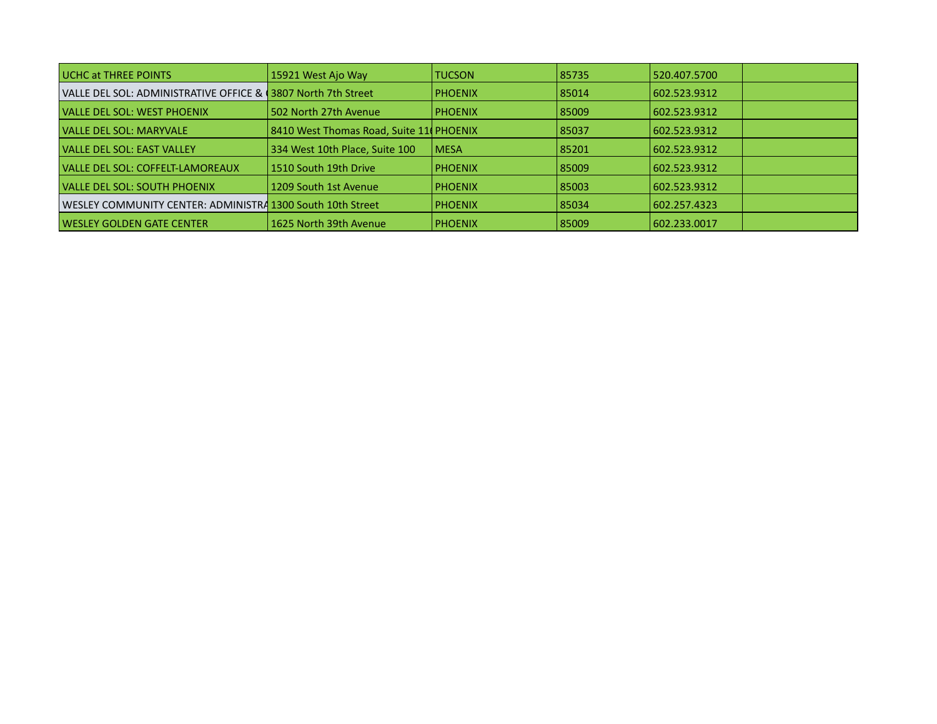| <b>UCHC at THREE POINTS</b>                                    | 15921 West Ajo Way                      | <b>TUCSON</b>  | 85735   | 520.407.5700 |  |
|----------------------------------------------------------------|-----------------------------------------|----------------|---------|--------------|--|
| VALLE DEL SOL: ADMINISTRATIVE OFFICE & (3807 North 7th Street) |                                         | <b>PHOENIX</b> | 85014 ا | 602.523.9312 |  |
| <b>VALLE DEL SOL: WEST PHOENIX</b>                             | 502 North 27th Avenue                   | <b>PHOENIX</b> | 85009   | 602.523.9312 |  |
| VALLE DEL SOL: MARYVALE                                        | 8410 West Thomas Road, Suite 11 PHOENIX |                | 85037   | 602.523.9312 |  |
| <b>VALLE DEL SOL: EAST VALLEY</b>                              | 334 West 10th Place, Suite 100          | <b>LMESA</b>   | 85201   | 602.523.9312 |  |
| VALLE DEL SOL: COFFELT-LAMOREAUX                               | l 1510 South 19th Drive                 | <b>PHOENIX</b> | 85009   | 602.523.9312 |  |
| <b>VALLE DEL SOL: SOUTH PHOENIX</b>                            | 1209 South 1st Avenue                   | <b>PHOENIX</b> | 85003   | 602.523.9312 |  |
| WESLEY COMMUNITY CENTER: ADMINISTRA 1300 South 10th Street     |                                         | l PHOENIX      | 85034   | 602.257.4323 |  |
| WESLEY GOLDEN GATE CENTER                                      | 1625 North 39th Avenue                  | <b>PHOENIX</b> | 85009   | 602.233.0017 |  |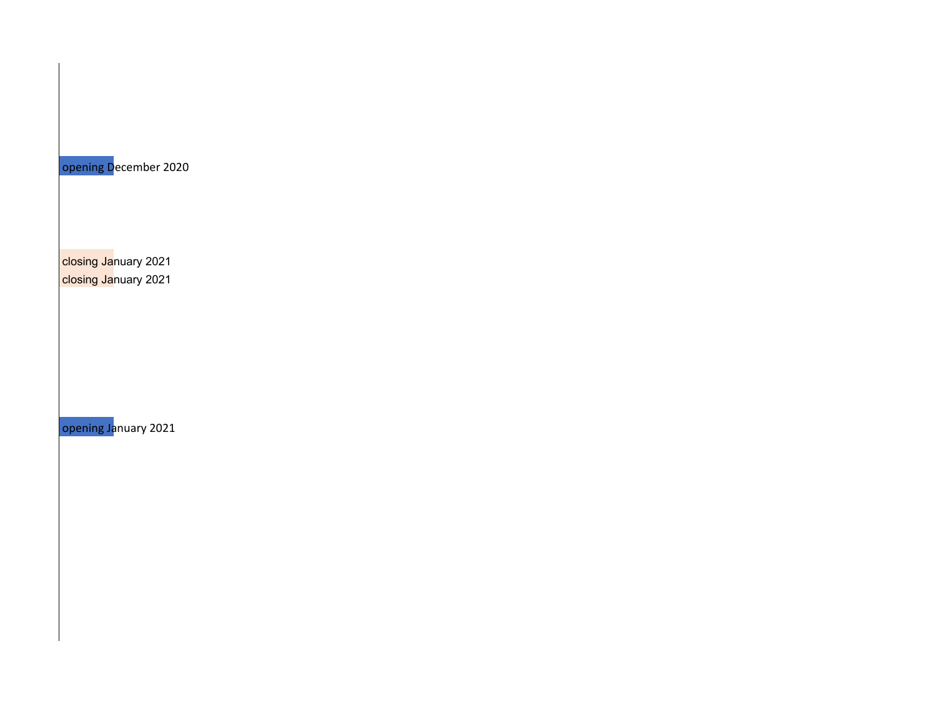opening December 2020

closing January 2021 closing January 2021

opening January 2021